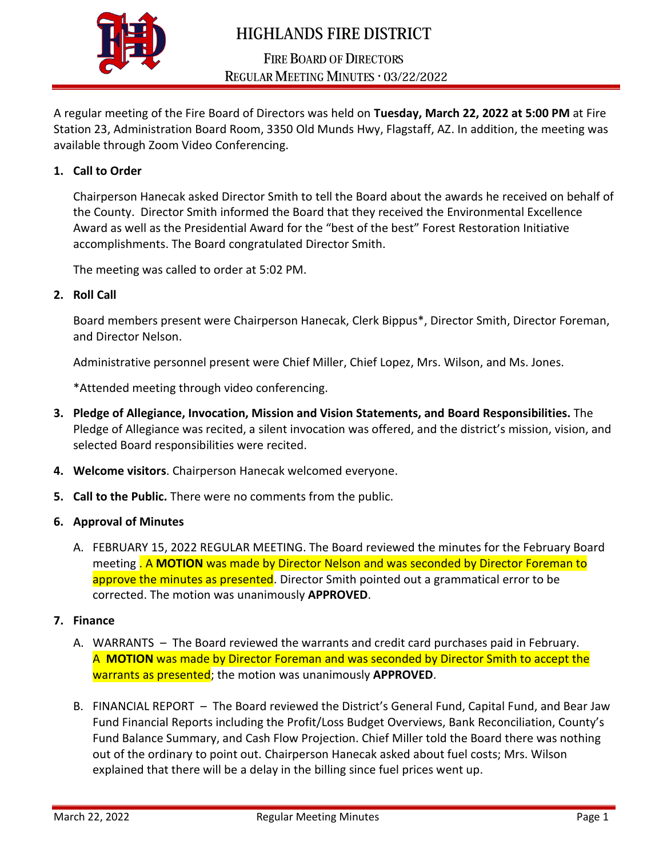

# **HIGHLANDS FIRE DISTRICT**

## **FIRE BOARD OF DIRECTORS** REGULAR MEETING MINUTES . 03/22/2022

A regular meeting of the Fire Board of Directors was held on **Tuesday, March 22, 2022 at 5:00 PM** at Fire Station 23, Administration Board Room, 3350 Old Munds Hwy, Flagstaff, AZ. In addition, the meeting was available through Zoom Video Conferencing.

### **1. Call to Order**

Chairperson Hanecak asked Director Smith to tell the Board about the awards he received on behalf of the County. Director Smith informed the Board that they received the Environmental Excellence Award as well as the Presidential Award for the "best of the best" Forest Restoration Initiative accomplishments. The Board congratulated Director Smith.

The meeting was called to order at 5:02 PM.

**2. Roll Call** 

Board members present were Chairperson Hanecak, Clerk Bippus\*, Director Smith, Director Foreman, and Director Nelson.

Administrative personnel present were Chief Miller, Chief Lopez, Mrs. Wilson, and Ms. Jones.

\*Attended meeting through video conferencing.

- **3. Pledge of Allegiance, Invocation, Mission and Vision Statements, and Board Responsibilities.** The Pledge of Allegiance was recited, a silent invocation was offered, and the district's mission, vision, and selected Board responsibilities were recited.
- **4. Welcome visitors**. Chairperson Hanecak welcomed everyone.
- **5. Call to the Public.** There were no comments from the public.
- **6. Approval of Minutes**
	- A. FEBRUARY 15, 2022 REGULAR MEETING. The Board reviewed the minutes for the February Board meeting . A **MOTION** was made by Director Nelson and was seconded by Director Foreman to approve the minutes as presented. Director Smith pointed out a grammatical error to be corrected. The motion was unanimously **APPROVED**.
- **7. Finance**
	- A. WARRANTS The Board reviewed the warrants and credit card purchases paid in February. A **MOTION** was made by Director Foreman and was seconded by Director Smith to accept the warrants as presented; the motion was unanimously **APPROVED**.
	- B. FINANCIAL REPORT The Board reviewed the District's General Fund, Capital Fund, and Bear Jaw Fund Financial Reports including the Profit/Loss Budget Overviews, Bank Reconciliation, County's Fund Balance Summary, and Cash Flow Projection. Chief Miller told the Board there was nothing out of the ordinary to point out. Chairperson Hanecak asked about fuel costs; Mrs. Wilson explained that there will be a delay in the billing since fuel prices went up.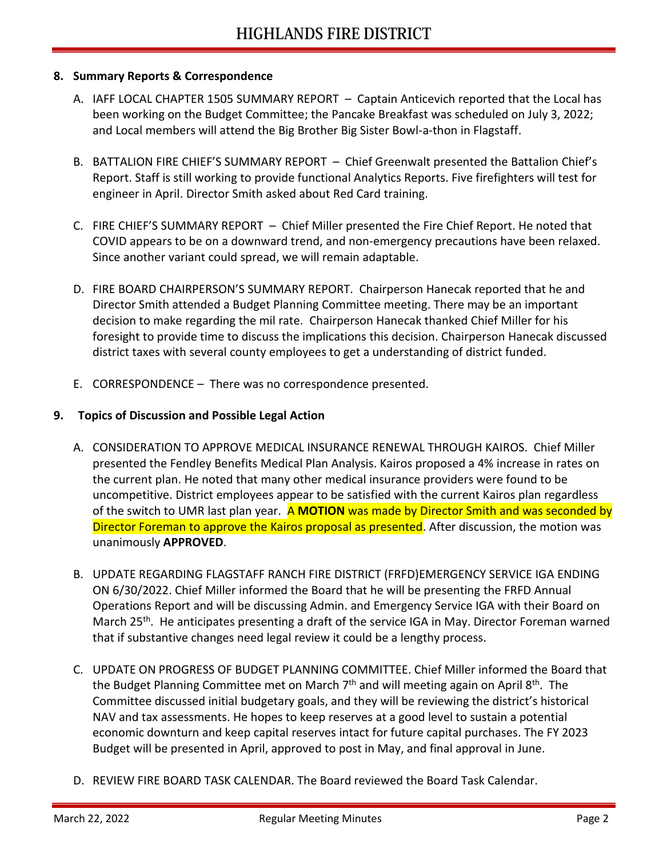#### **8. Summary Reports & Correspondence**

- A. IAFF LOCAL CHAPTER 1505 SUMMARY REPORT Captain Anticevich reported that the Local has been working on the Budget Committee; the Pancake Breakfast was scheduled on July 3, 2022; and Local members will attend the Big Brother Big Sister Bowl-a-thon in Flagstaff.
- B. BATTALION FIRE CHIEF'S SUMMARY REPORT Chief Greenwalt presented the Battalion Chief's Report. Staff is still working to provide functional Analytics Reports. Five firefighters will test for engineer in April. Director Smith asked about Red Card training.
- C. FIRE CHIEF'S SUMMARY REPORT Chief Miller presented the Fire Chief Report. He noted that COVID appears to be on a downward trend, and non-emergency precautions have been relaxed. Since another variant could spread, we will remain adaptable.
- D. FIRE BOARD CHAIRPERSON'S SUMMARY REPORT. Chairperson Hanecak reported that he and Director Smith attended a Budget Planning Committee meeting. There may be an important decision to make regarding the mil rate. Chairperson Hanecak thanked Chief Miller for his foresight to provide time to discuss the implications this decision. Chairperson Hanecak discussed district taxes with several county employees to get a understanding of district funded.
- E. CORRESPONDENCE There was no correspondence presented.

### **9. Topics of Discussion and Possible Legal Action**

- A. CONSIDERATION TO APPROVE MEDICAL INSURANCE RENEWAL THROUGH KAIROS. Chief Miller presented the Fendley Benefits Medical Plan Analysis. Kairos proposed a 4% increase in rates on the current plan. He noted that many other medical insurance providers were found to be uncompetitive. District employees appear to be satisfied with the current Kairos plan regardless of the switch to UMR last plan year. A **MOTION** was made by Director Smith and was seconded by Director Foreman to approve the Kairos proposal as presented. After discussion, the motion was unanimously **APPROVED**.
- B. UPDATE REGARDING FLAGSTAFF RANCH FIRE DISTRICT (FRFD)EMERGENCY SERVICE IGA ENDING ON 6/30/2022. Chief Miller informed the Board that he will be presenting the FRFD Annual Operations Report and will be discussing Admin. and Emergency Service IGA with their Board on March 25<sup>th</sup>. He anticipates presenting a draft of the service IGA in May. Director Foreman warned that if substantive changes need legal review it could be a lengthy process.
- C. UPDATE ON PROGRESS OF BUDGET PLANNING COMMITTEE. Chief Miller informed the Board that the Budget Planning Committee met on March 7<sup>th</sup> and will meeting again on April 8<sup>th</sup>. The Committee discussed initial budgetary goals, and they will be reviewing the district's historical NAV and tax assessments. He hopes to keep reserves at a good level to sustain a potential economic downturn and keep capital reserves intact for future capital purchases. The FY 2023 Budget will be presented in April, approved to post in May, and final approval in June.
- D. REVIEW FIRE BOARD TASK CALENDAR. The Board reviewed the Board Task Calendar.